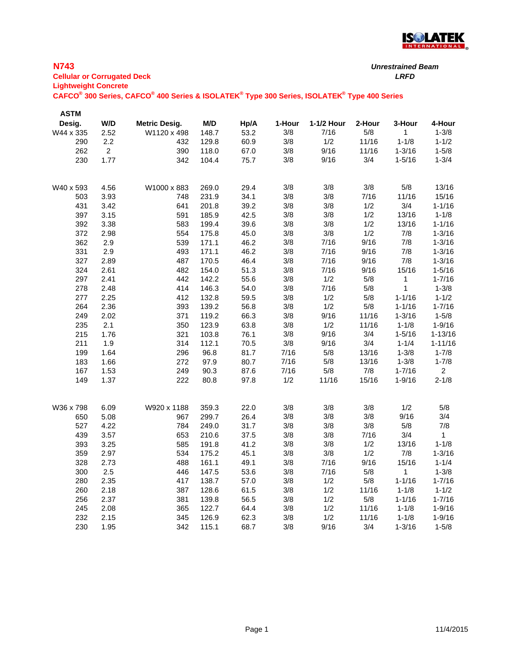

## **N743**

| <b>Cellular or Corrugated Deck</b> | LRFD |
|------------------------------------|------|
| <b>Lightweight Concrete</b>        |      |

| <b>ASTM</b> |                |                      |       |      |        |            |        |              |                |
|-------------|----------------|----------------------|-------|------|--------|------------|--------|--------------|----------------|
| Desig.      | W/D            | <b>Metric Desig.</b> | M/D   | Hp/A | 1-Hour | 1-1/2 Hour | 2-Hour | 3-Hour       | 4-Hour         |
| W44 x 335   | 2.52           | W1120 x 498          | 148.7 | 53.2 | 3/8    | 7/16       | $5/8$  | $\mathbf{1}$ | $1 - 3/8$      |
| 290         | 2.2            | 432                  | 129.8 | 60.9 | 3/8    | 1/2        | 11/16  | $1 - 1/8$    | $1 - 1/2$      |
| 262         | $\overline{c}$ | 390                  | 118.0 | 67.0 | 3/8    | 9/16       | 11/16  | $1 - 3/16$   | $1 - 5/8$      |
| 230         | 1.77           | 342                  | 104.4 | 75.7 | 3/8    | 9/16       | 3/4    | $1 - 5/16$   | $1 - 3/4$      |
|             |                |                      |       |      |        |            |        |              |                |
| W40 x 593   | 4.56           | W1000 x 883          | 269.0 | 29.4 | 3/8    | 3/8        | 3/8    | 5/8          | 13/16          |
| 503         | 3.93           | 748                  | 231.9 | 34.1 | 3/8    | 3/8        | 7/16   | 11/16        | 15/16          |
| 431         | 3.42           | 641                  | 201.8 | 39.2 | 3/8    | 3/8        | 1/2    | 3/4          | $1 - 1/16$     |
| 397         | 3.15           | 591                  | 185.9 | 42.5 | 3/8    | 3/8        | 1/2    | 13/16        | $1 - 1/8$      |
| 392         | 3.38           | 583                  | 199.4 | 39.6 | 3/8    | 3/8        | 1/2    | 13/16        | $1 - 1/16$     |
| 372         | 2.98           | 554                  | 175.8 | 45.0 | 3/8    | 3/8        | 1/2    | 7/8          | $1 - 3/16$     |
| 362         | 2.9            | 539                  | 171.1 | 46.2 | 3/8    | 7/16       | 9/16   | 7/8          | $1 - 3/16$     |
| 331         | 2.9            | 493                  | 171.1 | 46.2 | 3/8    | 7/16       | 9/16   | 7/8          | $1 - 3/16$     |
| 327         | 2.89           | 487                  | 170.5 | 46.4 | 3/8    | 7/16       | 9/16   | 7/8          | $1 - 3/16$     |
| 324         | 2.61           | 482                  | 154.0 | 51.3 | 3/8    | 7/16       | 9/16   | 15/16        | $1 - 5/16$     |
| 297         | 2.41           | 442                  | 142.2 | 55.6 | 3/8    | 1/2        | 5/8    | $\mathbf{1}$ | $1 - 7/16$     |
| 278         | 2.48           | 414                  | 146.3 | 54.0 | 3/8    | 7/16       | 5/8    | $\mathbf{1}$ | $1 - 3/8$      |
| 277         | 2.25           | 412                  | 132.8 | 59.5 | 3/8    | 1/2        | $5/8$  | $1 - 1/16$   | $1 - 1/2$      |
| 264         | 2.36           | 393                  | 139.2 | 56.8 | 3/8    | 1/2        | $5/8$  | $1 - 1/16$   | $1 - 7/16$     |
| 249         | 2.02           | 371                  | 119.2 | 66.3 | 3/8    | 9/16       | 11/16  | $1 - 3/16$   | $1 - 5/8$      |
| 235         | 2.1            | 350                  | 123.9 | 63.8 | 3/8    | 1/2        | 11/16  | $1 - 1/8$    | $1 - 9/16$     |
| 215         | 1.76           | 321                  | 103.8 | 76.1 | 3/8    | 9/16       | 3/4    | $1 - 5/16$   | $1 - 13/16$    |
| 211         | 1.9            | 314                  | 112.1 | 70.5 | 3/8    | 9/16       | 3/4    | $1 - 1/4$    | $1 - 11/16$    |
| 199         | 1.64           | 296                  | 96.8  | 81.7 | 7/16   | 5/8        | 13/16  | $1 - 3/8$    | $1 - 7/8$      |
| 183         | 1.66           | 272                  | 97.9  | 80.7 | 7/16   | 5/8        | 13/16  | $1 - 3/8$    | $1 - 7/8$      |
| 167         | 1.53           | 249                  | 90.3  | 87.6 | 7/16   | $5/8$      | $7/8$  | $1 - 7/16$   | $\overline{2}$ |
| 149         | 1.37           | 222                  | 80.8  | 97.8 | 1/2    | 11/16      | 15/16  | $1 - 9/16$   | $2 - 1/8$      |
|             |                |                      |       |      |        |            |        |              |                |
| W36 x 798   | 6.09           | W920 x 1188          | 359.3 | 22.0 | 3/8    | 3/8        | 3/8    | 1/2          | $5/8$          |
| 650         | 5.08           | 967                  | 299.7 | 26.4 | 3/8    | 3/8        | 3/8    | 9/16         | 3/4            |
| 527         | 4.22           | 784                  | 249.0 | 31.7 | 3/8    | 3/8        | 3/8    | $5/8$        | 7/8            |
| 439         | 3.57           | 653                  | 210.6 | 37.5 | $3/8$  | 3/8        | 7/16   | 3/4          | $\mathbf 1$    |
| 393         | 3.25           | 585                  | 191.8 | 41.2 | 3/8    | 3/8        | 1/2    | 13/16        | $1 - 1/8$      |
| 359         | 2.97           | 534                  | 175.2 | 45.1 | 3/8    | 3/8        | 1/2    | 7/8          | $1 - 3/16$     |
| 328         | 2.73           | 488                  | 161.1 | 49.1 | 3/8    | 7/16       | 9/16   | 15/16        | $1 - 1/4$      |
| 300         | 2.5            | 446                  | 147.5 | 53.6 | 3/8    | 7/16       | $5/8$  | 1            | $1 - 3/8$      |
| 280         | 2.35           | 417                  | 138.7 | 57.0 | 3/8    | 1/2        | $5/8$  | $1 - 1/16$   | $1 - 7/16$     |
| 260         | 2.18           | 387                  | 128.6 | 61.5 | 3/8    | 1/2        | 11/16  | $1 - 1/8$    | $1 - 1/2$      |
| 256         | 2.37           | 381                  | 139.8 | 56.5 | 3/8    | 1/2        | $5/8$  | $1 - 1/16$   | $1 - 7/16$     |
| 245         | 2.08           | 365                  | 122.7 | 64.4 | 3/8    | 1/2        | 11/16  | $1 - 1/8$    | $1 - 9/16$     |
| 232         | 2.15           | 345                  | 126.9 | 62.3 | 3/8    | 1/2        | 11/16  | $1 - 1/8$    | $1 - 9/16$     |
| 230         | 1.95           | 342                  | 115.1 | 68.7 | 3/8    | 9/16       | 3/4    | $1 - 3/16$   | $1 - 5/8$      |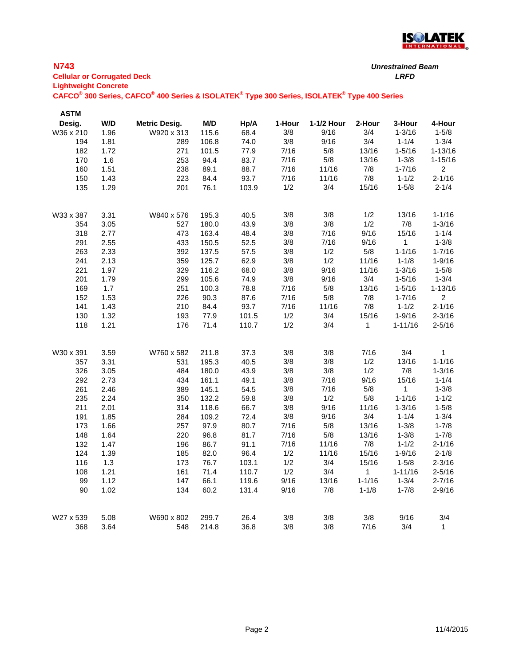

#### **N743 Cellular or Corrugated Deck** *LRFD* **Lightweight Concrete**

*Unrestrained Beam*

| <b>ASTM</b><br>Desig. | W/D  | <b>Metric Desig.</b> | M/D   | Hp/A  | 1-Hour | 1-1/2 Hour | 2-Hour     | 3-Hour       | 4-Hour         |
|-----------------------|------|----------------------|-------|-------|--------|------------|------------|--------------|----------------|
| W36 x 210             | 1.96 | W920 x 313           | 115.6 | 68.4  | 3/8    | 9/16       | 3/4        | $1 - 3/16$   | $1 - 5/8$      |
| 194                   | 1.81 | 289                  | 106.8 | 74.0  | 3/8    | 9/16       | 3/4        | $1 - 1/4$    | $1 - 3/4$      |
| 182                   | 1.72 | 271                  | 101.5 | 77.9  | 7/16   | $5/8$      | 13/16      | $1 - 5/16$   | $1 - 13/16$    |
| 170                   | 1.6  | 253                  | 94.4  | 83.7  | 7/16   | $5/8$      | 13/16      | $1 - 3/8$    | $1 - 15/16$    |
| 160                   | 1.51 | 238                  | 89.1  | 88.7  | 7/16   | 11/16      | $7/8$      | $1 - 7/16$   | $\overline{c}$ |
| 150                   | 1.43 | 223                  | 84.4  | 93.7  | 7/16   | 11/16      | 7/8        | $1 - 1/2$    | $2 - 1/16$     |
| 135                   | 1.29 | 201                  | 76.1  | 103.9 | 1/2    | 3/4        | 15/16      | $1 - 5/8$    | $2 - 1/4$      |
|                       |      |                      |       |       |        |            |            |              |                |
| W33 x 387             | 3.31 | W840 x 576           | 195.3 | 40.5  | 3/8    | 3/8        | 1/2        | 13/16        | $1 - 1/16$     |
| 354                   | 3.05 | 527                  | 180.0 | 43.9  | 3/8    | 3/8        | 1/2        | 7/8          | $1 - 3/16$     |
| 318                   | 2.77 | 473                  | 163.4 | 48.4  | 3/8    | 7/16       | 9/16       | 15/16        | $1 - 1/4$      |
| 291                   | 2.55 | 433                  | 150.5 | 52.5  | 3/8    | 7/16       | 9/16       | $\mathbf 1$  | $1 - 3/8$      |
| 263                   | 2.33 | 392                  | 137.5 | 57.5  | 3/8    | 1/2        | 5/8        | $1 - 1/16$   | $1 - 7/16$     |
| 241                   | 2.13 | 359                  | 125.7 | 62.9  | 3/8    | 1/2        | 11/16      | $1 - 1/8$    | $1 - 9/16$     |
| 221                   | 1.97 | 329                  | 116.2 | 68.0  | 3/8    | 9/16       | 11/16      | $1 - 3/16$   | $1 - 5/8$      |
| 201                   | 1.79 | 299                  | 105.6 | 74.9  | 3/8    | 9/16       | 3/4        | $1 - 5/16$   | $1 - 3/4$      |
| 169                   | 1.7  | 251                  | 100.3 | 78.8  | 7/16   | $5/8$      | 13/16      | $1 - 5/16$   | $1 - 13/16$    |
| 152                   | 1.53 | 226                  | 90.3  | 87.6  | 7/16   | $5/8$      | 7/8        | $1 - 7/16$   | $\overline{c}$ |
| 141                   | 1.43 | 210                  | 84.4  | 93.7  | 7/16   | 11/16      | 7/8        | $1 - 1/2$    | $2 - 1/16$     |
| 130                   | 1.32 | 193                  | 77.9  | 101.5 | 1/2    | 3/4        | 15/16      | $1 - 9/16$   | $2 - 3/16$     |
| 118                   | 1.21 | 176                  | 71.4  | 110.7 | 1/2    | 3/4        | 1          | $1 - 11/16$  | $2 - 5/16$     |
| W30 x 391             | 3.59 | W760 x 582           | 211.8 | 37.3  | 3/8    | $3/8$      | 7/16       | 3/4          | 1              |
| 357                   | 3.31 | 531                  | 195.3 | 40.5  | 3/8    | 3/8        | 1/2        | 13/16        | $1 - 1/16$     |
| 326                   | 3.05 | 484                  | 180.0 | 43.9  | 3/8    | 3/8        | 1/2        | 7/8          | $1 - 3/16$     |
| 292                   | 2.73 | 434                  | 161.1 | 49.1  | 3/8    | 7/16       | 9/16       | 15/16        | $1 - 1/4$      |
| 261                   | 2.46 | 389                  | 145.1 | 54.5  | 3/8    | 7/16       | $5/8$      | $\mathbf{1}$ | $1 - 3/8$      |
| 235                   | 2.24 | 350                  | 132.2 | 59.8  | 3/8    | 1/2        | 5/8        | $1 - 1/16$   | $1 - 1/2$      |
| 211                   | 2.01 | 314                  | 118.6 | 66.7  | 3/8    | 9/16       | 11/16      | $1 - 3/16$   | $1 - 5/8$      |
| 191                   | 1.85 | 284                  | 109.2 | 72.4  | 3/8    | 9/16       | 3/4        | $1 - 1/4$    | $1 - 3/4$      |
| 173                   | 1.66 | 257                  | 97.9  | 80.7  | 7/16   | $5/8$      | 13/16      | $1 - 3/8$    | $1 - 7/8$      |
| 148                   | 1.64 | 220                  | 96.8  | 81.7  | 7/16   | 5/8        | 13/16      | $1 - 3/8$    | $1 - 7/8$      |
| 132                   | 1.47 | 196                  | 86.7  | 91.1  | 7/16   | 11/16      | 7/8        | $1 - 1/2$    | $2 - 1/16$     |
| 124                   | 1.39 | 185                  | 82.0  | 96.4  | 1/2    | 11/16      | 15/16      | $1 - 9/16$   | $2 - 1/8$      |
| 116                   | 1.3  | 173                  | 76.7  | 103.1 | 1/2    | 3/4        | 15/16      | $1 - 5/8$    | $2 - 3/16$     |
| 108                   | 1.21 | 161                  | 71.4  | 110.7 | 1/2    | 3/4        | 1          | $1 - 11/16$  | $2 - 5/16$     |
| 99                    | 1.12 | 147                  | 66.1  | 119.6 | 9/16   | 13/16      | $1 - 1/16$ | $1 - 3/4$    | $2 - 7/16$     |
| 90                    | 1.02 | 134                  | 60.2  | 131.4 | 9/16   | 7/8        | $1 - 1/8$  | $1 - 7/8$    | $2 - 9/16$     |
| W27 x 539             | 5.08 | W690 x 802           | 299.7 | 26.4  | 3/8    | 3/8        | 3/8        | 9/16         | 3/4            |
| 368                   | 3.64 | 548                  | 214.8 | 36.8  | 3/8    | 3/8        | 7/16       | 3/4          | $\mathbf{1}$   |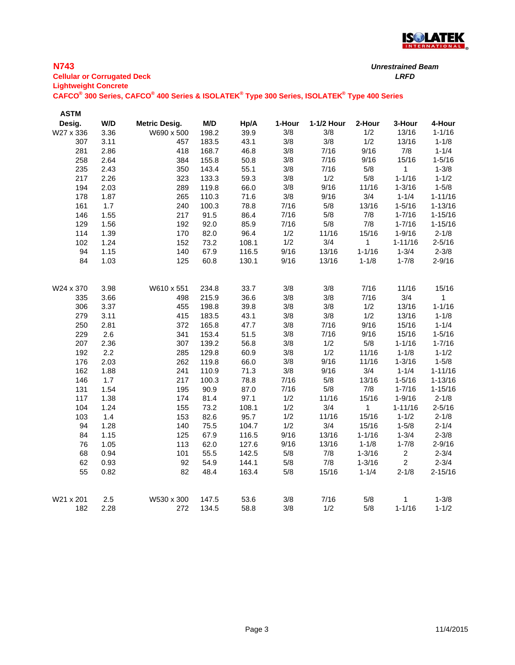

## **N743**

| <b>Cellular or Corrugated Deck</b> | LRFD |
|------------------------------------|------|
| <b>Lightweight Concrete</b>        |      |

| <b>ASTM</b> |      |                      |       |       |        |            |              |                 |             |
|-------------|------|----------------------|-------|-------|--------|------------|--------------|-----------------|-------------|
| Desig.      | W/D  | <b>Metric Desig.</b> | M/D   | Hp/A  | 1-Hour | 1-1/2 Hour | 2-Hour       | 3-Hour          | 4-Hour      |
| W27 x 336   | 3.36 | W690 x 500           | 198.2 | 39.9  | 3/8    | 3/8        | 1/2          | 13/16           | $1 - 1/16$  |
| 307         | 3.11 | 457                  | 183.5 | 43.1  | 3/8    | 3/8        | 1/2          | 13/16           | $1 - 1/8$   |
| 281         | 2.86 | 418                  | 168.7 | 46.8  | 3/8    | 7/16       | 9/16         | 7/8             | $1 - 1/4$   |
| 258         | 2.64 | 384                  | 155.8 | 50.8  | 3/8    | 7/16       | 9/16         | 15/16           | $1 - 5/16$  |
| 235         | 2.43 | 350                  | 143.4 | 55.1  | 3/8    | 7/16       | $5/8$        | $\mathbf{1}$    | $1 - 3/8$   |
| 217         | 2.26 | 323                  | 133.3 | 59.3  | 3/8    | 1/2        | $5/8$        | $1 - 1/16$      | $1 - 1/2$   |
| 194         | 2.03 | 289                  | 119.8 | 66.0  | 3/8    | 9/16       | 11/16        | $1 - 3/16$      | $1 - 5/8$   |
| 178         | 1.87 | 265                  | 110.3 | 71.6  | 3/8    | 9/16       | 3/4          | $1 - 1/4$       | $1 - 11/16$ |
| 161         | 1.7  | 240                  | 100.3 | 78.8  | 7/16   | 5/8        | 13/16        | $1 - 5/16$      | $1 - 13/16$ |
| 146         | 1.55 | 217                  | 91.5  | 86.4  | 7/16   | $5/8$      | 7/8          | $1 - 7/16$      | $1 - 15/16$ |
| 129         | 1.56 | 192                  | 92.0  | 85.9  | 7/16   | 5/8        | 7/8          | $1 - 7/16$      | $1 - 15/16$ |
| 114         | 1.39 | 170                  | 82.0  | 96.4  | 1/2    | 11/16      | 15/16        | $1 - 9/16$      | $2 - 1/8$   |
| 102         | 1.24 | 152                  | 73.2  | 108.1 | 1/2    | 3/4        | 1            | $1 - 11/16$     | $2 - 5/16$  |
| 94          | 1.15 | 140                  | 67.9  | 116.5 | 9/16   | 13/16      | $1 - 1/16$   | $1 - 3/4$       | $2 - 3/8$   |
| 84          | 1.03 | 125                  | 60.8  | 130.1 | 9/16   | 13/16      | $1 - 1/8$    | $1 - 7/8$       | $2 - 9/16$  |
|             |      |                      |       |       |        |            |              |                 |             |
| W24 x 370   | 3.98 | W610 x 551           | 234.8 | 33.7  | 3/8    | 3/8        | 7/16         | 11/16           | 15/16       |
| 335         | 3.66 | 498                  | 215.9 | 36.6  | 3/8    | 3/8        | 7/16         | 3/4             | 1           |
| 306         | 3.37 | 455                  | 198.8 | 39.8  | 3/8    | 3/8        | 1/2          | 13/16           | $1 - 1/16$  |
| 279         | 3.11 | 415                  | 183.5 | 43.1  | 3/8    | 3/8        | 1/2          | 13/16           | $1 - 1/8$   |
| 250         | 2.81 | 372                  | 165.8 | 47.7  | 3/8    | 7/16       | 9/16         | 15/16           | $1 - 1/4$   |
| 229         | 2.6  | 341                  | 153.4 | 51.5  | 3/8    | 7/16       | 9/16         | 15/16           | $1 - 5/16$  |
| 207         | 2.36 | 307                  | 139.2 | 56.8  | 3/8    | 1/2        | $5/8$        | $1 - 1/16$      | $1 - 7/16$  |
| 192         | 2.2  | 285                  | 129.8 | 60.9  | 3/8    | 1/2        | 11/16        | $1 - 1/8$       | $1 - 1/2$   |
| 176         | 2.03 | 262                  | 119.8 | 66.0  | 3/8    | 9/16       | 11/16        | $1 - 3/16$      | $1 - 5/8$   |
| 162         | 1.88 | 241                  | 110.9 | 71.3  | 3/8    | 9/16       | 3/4          | $1 - 1/4$       | $1 - 11/16$ |
| 146         | 1.7  | 217                  | 100.3 | 78.8  | 7/16   | 5/8        | 13/16        | $1 - 5/16$      | $1 - 13/16$ |
| 131         | 1.54 | 195                  | 90.9  | 87.0  | 7/16   | 5/8        | 7/8          | $1 - 7/16$      | $1 - 15/16$ |
| 117         | 1.38 | 174                  | 81.4  | 97.1  | 1/2    | 11/16      | 15/16        | $1 - 9/16$      | $2 - 1/8$   |
| 104         | 1.24 | 155                  | 73.2  | 108.1 | 1/2    | 3/4        | $\mathbf{1}$ | $1 - 11/16$     | $2 - 5/16$  |
| 103         | 1.4  | 153                  | 82.6  | 95.7  | 1/2    | 11/16      | 15/16        | $1 - 1/2$       | $2 - 1/8$   |
| 94          | 1.28 | 140                  | 75.5  | 104.7 | 1/2    | 3/4        | 15/16        | $1 - 5/8$       | $2 - 1/4$   |
| 84          | 1.15 | 125                  | 67.9  | 116.5 | 9/16   | 13/16      | $1 - 1/16$   | $1 - 3/4$       | $2 - 3/8$   |
| 76          | 1.05 | 113                  | 62.0  | 127.6 | 9/16   | 13/16      | $1 - 1/8$    | $1 - 7/8$       | $2 - 9/16$  |
| 68          | 0.94 | 101                  | 55.5  | 142.5 | 5/8    | 7/8        | $1 - 3/16$   | $\sqrt{2}$      | $2 - 3/4$   |
| 62          | 0.93 | 92                   | 54.9  | 144.1 | 5/8    | 7/8        | $1 - 3/16$   | $\overline{c}$  | $2 - 3/4$   |
| 55          | 0.82 | 82                   | 48.4  | 163.4 | 5/8    | 15/16      | $1 - 1/4$    | $2 - 1/8$       | $2 - 15/16$ |
|             | 2.5  |                      |       |       | 3/8    | 7/16       |              |                 |             |
| W21 x 201   | 2.28 | W530 x 300           | 147.5 | 53.6  |        |            | 5/8<br>5/8   | 1<br>$1 - 1/16$ | $1 - 3/8$   |
| 182         |      | 272                  | 134.5 | 58.8  | 3/8    | 1/2        |              |                 | $1 - 1/2$   |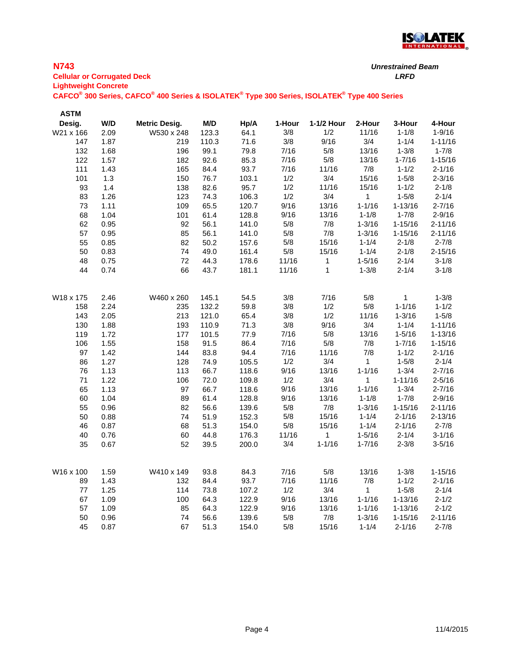

### **N743**

**Cellular or Corrugated Deck** *LRFD* **Lightweight Concrete**

| <b>ASTM</b> |      |                      |       |       |        |              |              |              |             |
|-------------|------|----------------------|-------|-------|--------|--------------|--------------|--------------|-------------|
| Desig.      | W/D  | <b>Metric Desig.</b> | M/D   | Hp/A  | 1-Hour | 1-1/2 Hour   | 2-Hour       | 3-Hour       | 4-Hour      |
| W21 x 166   | 2.09 | W530 x 248           | 123.3 | 64.1  | 3/8    | 1/2          | 11/16        | $1 - 1/8$    | $1 - 9/16$  |
| 147         | 1.87 | 219                  | 110.3 | 71.6  | 3/8    | 9/16         | 3/4          | $1 - 1/4$    | $1 - 11/16$ |
| 132         | 1.68 | 196                  | 99.1  | 79.8  | 7/16   | $5/8$        | 13/16        | $1 - 3/8$    | $1 - 7/8$   |
| 122         | 1.57 | 182                  | 92.6  | 85.3  | 7/16   | $5/8$        | 13/16        | $1 - 7/16$   | $1 - 15/16$ |
| 111         | 1.43 | 165                  | 84.4  | 93.7  | 7/16   | 11/16        | $7/8$        | $1 - 1/2$    | $2 - 1/16$  |
| 101         | 1.3  | 150                  | 76.7  | 103.1 | 1/2    | 3/4          | 15/16        | $1 - 5/8$    | $2 - 3/16$  |
| 93          | 1.4  | 138                  | 82.6  | 95.7  | 1/2    | 11/16        | 15/16        | $1 - 1/2$    | $2 - 1/8$   |
| 83          | 1.26 | 123                  | 74.3  | 106.3 | 1/2    | 3/4          | $\mathbf{1}$ | $1 - 5/8$    | $2 - 1/4$   |
| 73          | 1.11 | 109                  | 65.5  | 120.7 | 9/16   | 13/16        | $1 - 1/16$   | $1 - 13/16$  | $2 - 7/16$  |
| 68          | 1.04 | 101                  | 61.4  | 128.8 | 9/16   | 13/16        | $1 - 1/8$    | $1 - 7/8$    | $2 - 9/16$  |
| 62          | 0.95 | 92                   | 56.1  | 141.0 | $5/8$  | $7/8$        | $1 - 3/16$   | $1 - 15/16$  | $2 - 11/16$ |
| 57          | 0.95 | 85                   | 56.1  | 141.0 | 5/8    | $7/8$        | $1 - 3/16$   | $1 - 15/16$  | $2 - 11/16$ |
| 55          | 0.85 | 82                   | 50.2  | 157.6 | 5/8    | 15/16        | $1 - 1/4$    | $2 - 1/8$    | $2 - 7/8$   |
| 50          | 0.83 | 74                   | 49.0  | 161.4 | $5/8$  | 15/16        | $1 - 1/4$    | $2 - 1/8$    | $2 - 15/16$ |
| 48          | 0.75 | 72                   | 44.3  | 178.6 | 11/16  | 1            | $1 - 5/16$   | $2 - 1/4$    | $3 - 1/8$   |
| 44          | 0.74 | 66                   | 43.7  | 181.1 | 11/16  | $\mathbf{1}$ | $1 - 3/8$    | $2 - 1/4$    | $3 - 1/8$   |
| W18 x 175   | 2.46 | W460 x 260           | 145.1 | 54.5  | 3/8    | 7/16         | 5/8          | $\mathbf{1}$ | $1 - 3/8$   |
| 158         | 2.24 | 235                  | 132.2 | 59.8  | 3/8    | 1/2          | 5/8          | $1 - 1/16$   | $1 - 1/2$   |
| 143         | 2.05 | 213                  | 121.0 | 65.4  | 3/8    | 1/2          | 11/16        | $1 - 3/16$   | $1 - 5/8$   |
| 130         | 1.88 | 193                  | 110.9 | 71.3  | 3/8    | 9/16         | 3/4          | $1 - 1/4$    | $1 - 11/16$ |
| 119         | 1.72 | 177                  | 101.5 | 77.9  | 7/16   | $5/8$        | 13/16        | $1 - 5/16$   | $1 - 13/16$ |
| 106         | 1.55 | 158                  | 91.5  | 86.4  | 7/16   | $5/8$        | 7/8          | $1 - 7/16$   | $1 - 15/16$ |
| 97          | 1.42 | 144                  | 83.8  | 94.4  | 7/16   | 11/16        | 7/8          | $1 - 1/2$    | $2 - 1/16$  |
| 86          | 1.27 | 128                  | 74.9  | 105.5 | 1/2    | 3/4          | $\mathbf{1}$ | $1 - 5/8$    | $2 - 1/4$   |
| 76          | 1.13 | 113                  | 66.7  | 118.6 | 9/16   | 13/16        | $1 - 1/16$   | $1 - 3/4$    | $2 - 7/16$  |
| 71          | 1.22 | 106                  | 72.0  | 109.8 | 1/2    | 3/4          | 1            | $1 - 11/16$  | $2 - 5/16$  |
| 65          | 1.13 | 97                   | 66.7  | 118.6 | 9/16   | 13/16        | $1 - 1/16$   | $1 - 3/4$    | $2 - 7/16$  |
| 60          | 1.04 | 89                   | 61.4  | 128.8 | 9/16   | 13/16        | $1 - 1/8$    | $1 - 7/8$    | $2 - 9/16$  |
| 55          | 0.96 | 82                   | 56.6  | 139.6 | $5/8$  | $7/8$        | $1 - 3/16$   | $1 - 15/16$  | $2 - 11/16$ |
| 50          | 0.88 | 74                   | 51.9  | 152.3 | $5/8$  | 15/16        | $1 - 1/4$    | $2 - 1/16$   | $2 - 13/16$ |
| 46          | 0.87 | 68                   | 51.3  | 154.0 | $5/8$  | 15/16        | $1 - 1/4$    | $2 - 1/16$   | $2 - 7/8$   |
| 40          | 0.76 | 60                   | 44.8  | 176.3 | 11/16  | $\mathbf{1}$ | $1 - 5/16$   | $2 - 1/4$    | $3 - 1/16$  |
| 35          | 0.67 | 52                   | 39.5  | 200.0 | 3/4    | $1 - 1/16$   | $1 - 7/16$   | $2 - 3/8$    | $3 - 5/16$  |
|             |      |                      |       |       |        |              |              |              |             |
| W16 x 100   | 1.59 | W410 x 149           | 93.8  | 84.3  | 7/16   | $5/8$        | 13/16        | $1 - 3/8$    | $1 - 15/16$ |
| 89          | 1.43 | 132                  | 84.4  | 93.7  | 7/16   | 11/16        | $7/8$        | $1 - 1/2$    | $2 - 1/16$  |
| 77          | 1.25 | 114                  | 73.8  | 107.2 | 1/2    | 3/4          | $\mathbf{1}$ | $1 - 5/8$    | $2 - 1/4$   |
| 67          | 1.09 | 100                  | 64.3  | 122.9 | 9/16   | 13/16        | $1 - 1/16$   | $1 - 13/16$  | $2 - 1/2$   |
| 57          | 1.09 | 85                   | 64.3  | 122.9 | 9/16   | 13/16        | $1 - 1/16$   | $1 - 13/16$  | $2 - 1/2$   |
| 50          | 0.96 | 74                   | 56.6  | 139.6 | $5/8$  | 7/8          | $1 - 3/16$   | $1 - 15/16$  | $2 - 11/16$ |
| 45          | 0.87 | 67                   | 51.3  | 154.0 | 5/8    | 15/16        | $1 - 1/4$    | $2 - 1/16$   | $2 - 7/8$   |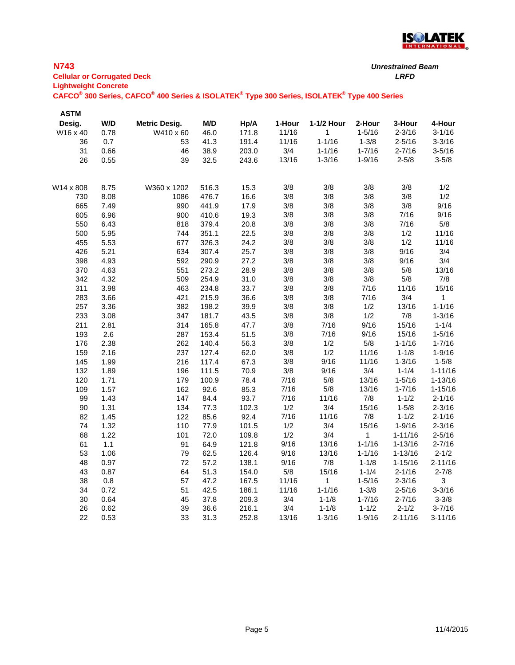

#### **N743 Cellular or Corrugated Deck** *LRFD* **Lightweight Concrete**

| <b>ASTM</b> |      |                      |       |       |        |              |            |             |             |
|-------------|------|----------------------|-------|-------|--------|--------------|------------|-------------|-------------|
| Desig.      | W/D  | <b>Metric Desig.</b> | M/D   | Hp/A  | 1-Hour | 1-1/2 Hour   | 2-Hour     | 3-Hour      | 4-Hour      |
| W16 x 40    | 0.78 | W410 x 60            | 46.0  | 171.8 | 11/16  | $\mathbf{1}$ | $1 - 5/16$ | $2 - 3/16$  | $3 - 1/16$  |
| 36          | 0.7  | 53                   | 41.3  | 191.4 | 11/16  | $1 - 1/16$   | $1 - 3/8$  | $2 - 5/16$  | $3 - 3/16$  |
| 31          | 0.66 | 46                   | 38.9  | 203.0 | 3/4    | $1 - 1/16$   | $1 - 7/16$ | $2 - 7/16$  | $3 - 5/16$  |
| 26          | 0.55 | 39                   | 32.5  | 243.6 | 13/16  | $1 - 3/16$   | $1 - 9/16$ | $2 - 5/8$   | $3 - 5/8$   |
| W14 x 808   | 8.75 | W360 x 1202          | 516.3 | 15.3  | 3/8    | 3/8          | 3/8        | 3/8         | 1/2         |
| 730         | 8.08 | 1086                 | 476.7 | 16.6  | 3/8    | 3/8          | 3/8        | 3/8         | 1/2         |
| 665         | 7.49 | 990                  | 441.9 | 17.9  | 3/8    | 3/8          | 3/8        | 3/8         | 9/16        |
| 605         | 6.96 | 900                  | 410.6 | 19.3  | 3/8    | 3/8          | 3/8        | 7/16        | 9/16        |
| 550         | 6.43 | 818                  | 379.4 | 20.8  | 3/8    | 3/8          | 3/8        | 7/16        | 5/8         |
| 500         | 5.95 | 744                  | 351.1 | 22.5  | 3/8    | 3/8          | 3/8        | 1/2         | 11/16       |
| 455         | 5.53 | 677                  | 326.3 | 24.2  | 3/8    | 3/8          | 3/8        | 1/2         | 11/16       |
| 426         | 5.21 | 634                  | 307.4 | 25.7  | 3/8    | 3/8          | 3/8        | 9/16        | 3/4         |
| 398         | 4.93 | 592                  | 290.9 | 27.2  | 3/8    | 3/8          | 3/8        | 9/16        | 3/4         |
| 370         | 4.63 | 551                  | 273.2 | 28.9  | 3/8    | 3/8          | 3/8        | 5/8         | 13/16       |
| 342         | 4.32 | 509                  | 254.9 | 31.0  | 3/8    | 3/8          | $3/8$      | $5/8$       | 7/8         |
| 311         | 3.98 | 463                  | 234.8 | 33.7  | 3/8    | 3/8          | 7/16       | 11/16       | 15/16       |
| 283         | 3.66 | 421                  | 215.9 | 36.6  | 3/8    | 3/8          | 7/16       | 3/4         | 1           |
| 257         | 3.36 | 382                  | 198.2 | 39.9  | 3/8    | 3/8          | 1/2        | 13/16       | $1 - 1/16$  |
| 233         | 3.08 | 347                  | 181.7 | 43.5  | 3/8    | 3/8          | 1/2        | $7/8$       | $1 - 3/16$  |
| 211         | 2.81 | 314                  | 165.8 | 47.7  | 3/8    | 7/16         | 9/16       | 15/16       | $1 - 1/4$   |
| 193         | 2.6  | 287                  | 153.4 | 51.5  | 3/8    | 7/16         | 9/16       | 15/16       | $1 - 5/16$  |
| 176         | 2.38 | 262                  | 140.4 | 56.3  | 3/8    | 1/2          | $5/8$      | $1 - 1/16$  | $1 - 7/16$  |
| 159         | 2.16 | 237                  | 127.4 | 62.0  | 3/8    | 1/2          | 11/16      | $1 - 1/8$   | $1 - 9/16$  |
| 145         | 1.99 | 216                  | 117.4 | 67.3  | 3/8    | 9/16         | 11/16      | $1 - 3/16$  | $1 - 5/8$   |
| 132         | 1.89 | 196                  | 111.5 | 70.9  | 3/8    | 9/16         | 3/4        | $1 - 1/4$   | $1 - 11/16$ |
| 120         | 1.71 | 179                  | 100.9 | 78.4  | 7/16   | $5/8$        | 13/16      | $1 - 5/16$  | $1 - 13/16$ |
| 109         | 1.57 | 162                  | 92.6  | 85.3  | 7/16   | $5/8$        | 13/16      | $1 - 7/16$  | $1 - 15/16$ |
| 99          | 1.43 | 147                  | 84.4  | 93.7  | 7/16   | 11/16        | $7/8$      | $1 - 1/2$   | $2 - 1/16$  |
| 90          | 1.31 | 134                  | 77.3  | 102.3 | 1/2    | 3/4          | 15/16      | $1 - 5/8$   | $2 - 3/16$  |
| 82          | 1.45 | 122                  | 85.6  | 92.4  | 7/16   | 11/16        | 7/8        | $1 - 1/2$   | $2 - 1/16$  |
| 74          | 1.32 | 110                  | 77.9  | 101.5 | 1/2    | 3/4          | 15/16      | $1 - 9/16$  | $2 - 3/16$  |
| 68          | 1.22 | 101                  | 72.0  | 109.8 | 1/2    | 3/4          | 1          | $1 - 11/16$ | $2 - 5/16$  |
| 61          | 1.1  | 91                   | 64.9  | 121.8 | 9/16   | 13/16        | $1 - 1/16$ | $1 - 13/16$ | $2 - 7/16$  |
| 53          | 1.06 | 79                   | 62.5  | 126.4 | 9/16   | 13/16        | $1 - 1/16$ | $1 - 13/16$ | $2 - 1/2$   |
| 48          | 0.97 | 72                   | 57.2  | 138.1 | 9/16   | 7/8          | $1 - 1/8$  | $1 - 15/16$ | $2 - 11/16$ |
| 43          | 0.87 | 64                   | 51.3  | 154.0 | 5/8    | 15/16        | $1 - 1/4$  | $2 - 1/16$  | $2 - 7/8$   |
| 38          | 0.8  | 57                   | 47.2  | 167.5 | 11/16  | 1            | $1 - 5/16$ | $2 - 3/16$  | 3           |
| 34          | 0.72 | 51                   | 42.5  | 186.1 | 11/16  | $1 - 1/16$   | $1 - 3/8$  | $2 - 5/16$  | $3 - 3/16$  |
| 30          | 0.64 | 45                   | 37.8  | 209.3 | 3/4    | $1 - 1/8$    | $1 - 7/16$ | $2 - 7/16$  | $3 - 3/8$   |
| 26          | 0.62 | 39                   | 36.6  | 216.1 | 3/4    | $1 - 1/8$    | $1 - 1/2$  | $2 - 1/2$   | $3 - 7/16$  |
| 22          | 0.53 | 33                   | 31.3  | 252.8 | 13/16  | $1 - 3/16$   | $1 - 9/16$ | $2 - 11/16$ | $3 - 11/16$ |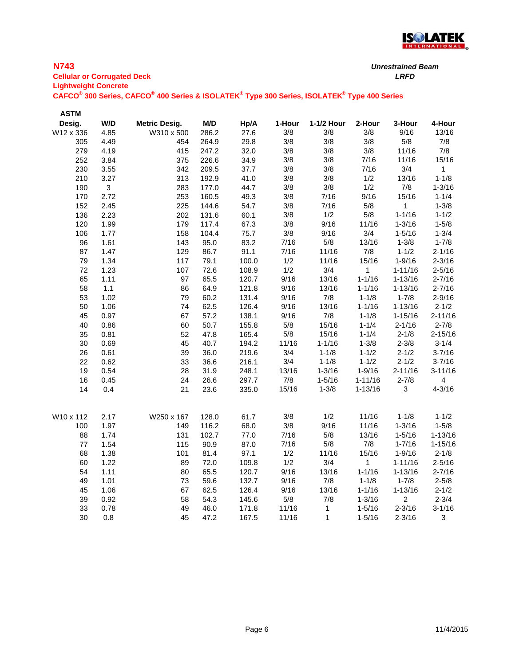

### **N743**

**Cellular or Corrugated Deck** *LRFD* **Lightweight Concrete**

| <b>ASTM</b> |              |                      |       |       |        |              |              |                |                         |
|-------------|--------------|----------------------|-------|-------|--------|--------------|--------------|----------------|-------------------------|
| Desig.      | W/D          | <b>Metric Desig.</b> | M/D   | Hp/A  | 1-Hour | 1-1/2 Hour   | 2-Hour       | 3-Hour         | 4-Hour                  |
| W12 x 336   | 4.85         | W310 x 500           | 286.2 | 27.6  | 3/8    | 3/8          | 3/8          | 9/16           | 13/16                   |
| 305         | 4.49         | 454                  | 264.9 | 29.8  | 3/8    | 3/8          | 3/8          | $5/8$          | 7/8                     |
| 279         | 4.19         | 415                  | 247.2 | 32.0  | 3/8    | 3/8          | 3/8          | 11/16          | 7/8                     |
| 252         | 3.84         | 375                  | 226.6 | 34.9  | 3/8    | 3/8          | 7/16         | 11/16          | 15/16                   |
| 230         | 3.55         | 342                  | 209.5 | 37.7  | 3/8    | 3/8          | 7/16         | 3/4            | $\mathbf{1}$            |
| 210         | 3.27         | 313                  | 192.9 | 41.0  | 3/8    | 3/8          | 1/2          | 13/16          | $1 - 1/8$               |
| 190         | $\mathbf{3}$ | 283                  | 177.0 | 44.7  | 3/8    | 3/8          | 1/2          | 7/8            | $1 - 3/16$              |
| 170         | 2.72         | 253                  | 160.5 | 49.3  | 3/8    | 7/16         | 9/16         | 15/16          | $1 - 1/4$               |
| 152         | 2.45         | 225                  | 144.6 | 54.7  | 3/8    | 7/16         | $5/8$        | 1              | $1 - 3/8$               |
| 136         | 2.23         | 202                  | 131.6 | 60.1  | 3/8    | 1/2          | $5/8$        | $1 - 1/16$     | $1 - 1/2$               |
| 120         | 1.99         | 179                  | 117.4 | 67.3  | $3/8$  | 9/16         | 11/16        | $1 - 3/16$     | $1 - 5/8$               |
| 106         | 1.77         | 158                  | 104.4 | 75.7  | 3/8    | 9/16         | 3/4          | $1 - 5/16$     | $1 - 3/4$               |
| 96          | 1.61         | 143                  | 95.0  | 83.2  | 7/16   | $5/8$        | 13/16        | $1 - 3/8$      | $1 - 7/8$               |
| 87          | 1.47         | 129                  | 86.7  | 91.1  | 7/16   | 11/16        | 7/8          | $1 - 1/2$      | $2 - 1/16$              |
| 79          | 1.34         | 117                  | 79.1  | 100.0 | 1/2    | 11/16        | 15/16        | $1 - 9/16$     | $2 - 3/16$              |
| 72          | 1.23         | 107                  | 72.6  | 108.9 | 1/2    | 3/4          | $\mathbf{1}$ | $1 - 11/16$    | $2 - 5/16$              |
| 65          | 1.11         | 97                   | 65.5  | 120.7 | 9/16   | 13/16        | $1 - 1/16$   | $1 - 13/16$    | $2 - 7/16$              |
| 58          | 1.1          | 86                   | 64.9  | 121.8 | 9/16   | 13/16        | $1 - 1/16$   | $1 - 13/16$    | $2 - 7/16$              |
| 53          | 1.02         | 79                   | 60.2  | 131.4 | 9/16   | 7/8          | $1 - 1/8$    | $1 - 7/8$      | $2 - 9/16$              |
| 50          | 1.06         | 74                   | 62.5  | 126.4 | 9/16   | 13/16        | $1 - 1/16$   | $1 - 13/16$    | $2 - 1/2$               |
| 45          | 0.97         | 67                   | 57.2  | 138.1 | 9/16   | 7/8          | $1 - 1/8$    | $1 - 15/16$    | $2 - 11/16$             |
| 40          | 0.86         | 60                   | 50.7  | 155.8 | $5/8$  | 15/16        | $1 - 1/4$    | $2 - 1/16$     | $2 - 7/8$               |
| 35          | 0.81         | 52                   | 47.8  | 165.4 | $5/8$  | 15/16        | $1 - 1/4$    | $2 - 1/8$      | $2 - 15/16$             |
| 30          | 0.69         | 45                   | 40.7  | 194.2 | 11/16  | $1 - 1/16$   | $1 - 3/8$    | $2 - 3/8$      | $3 - 1/4$               |
| 26          | 0.61         | 39                   | 36.0  | 219.6 | 3/4    | $1 - 1/8$    | $1 - 1/2$    | $2 - 1/2$      | $3 - 7/16$              |
| 22          | 0.62         | 33                   | 36.6  | 216.1 | 3/4    | $1 - 1/8$    | $1 - 1/2$    | $2 - 1/2$      | $3 - 7/16$              |
| 19          | 0.54         | 28                   | 31.9  | 248.1 | 13/16  | $1 - 3/16$   | $1 - 9/16$   | $2 - 11/16$    | $3 - 11/16$             |
| 16          | 0.45         | 24                   | 26.6  | 297.7 | 7/8    | $1 - 5/16$   | $1 - 11/16$  | $2 - 7/8$      | $\overline{\mathbf{4}}$ |
| 14          | 0.4          | 21                   | 23.6  | 335.0 | 15/16  | $1 - 3/8$    | $1 - 13/16$  | 3              | $4 - 3/16$              |
| W10 x 112   | 2.17         | W250 x 167           | 128.0 | 61.7  | 3/8    | 1/2          | 11/16        | $1 - 1/8$      | $1 - 1/2$               |
| 100         | 1.97         | 149                  | 116.2 | 68.0  | 3/8    | 9/16         | 11/16        | $1 - 3/16$     | $1 - 5/8$               |
| 88          | 1.74         | 131                  | 102.7 | 77.0  | 7/16   | $5/8$        | 13/16        | $1 - 5/16$     | $1 - 13/16$             |
| 77          | 1.54         | 115                  | 90.9  | 87.0  | 7/16   | 5/8          | 7/8          | $1 - 7/16$     | $1 - 15/16$             |
| 68          | 1.38         | 101                  | 81.4  | 97.1  | 1/2    | 11/16        | 15/16        | $1 - 9/16$     | $2 - 1/8$               |
| 60          | 1.22         | 89                   | 72.0  | 109.8 | 1/2    | 3/4          | 1            | $1 - 11/16$    | $2 - 5/16$              |
| 54          | 1.11         | 80                   | 65.5  | 120.7 | 9/16   | 13/16        | $1 - 1/16$   | $1 - 13/16$    | $2 - 7/16$              |
| 49          | 1.01         | 73                   | 59.6  | 132.7 | 9/16   | 7/8          | $1 - 1/8$    | $1 - 7/8$      | $2 - 5/8$               |
| 45          | 1.06         | 67                   | 62.5  | 126.4 | 9/16   | 13/16        | $1 - 1/16$   | $1 - 13/16$    | $2 - 1/2$               |
| 39          | 0.92         | 58                   | 54.3  | 145.6 | $5/8$  | 7/8          | $1 - 3/16$   | $\overline{c}$ | $2 - 3/4$               |
| 33          | 0.78         | 49                   | 46.0  | 171.8 | 11/16  | $\mathbf{1}$ | $1 - 5/16$   | $2 - 3/16$     | $3 - 1/16$              |
| 30          | 0.8          | 45                   | 47.2  | 167.5 | 11/16  | 1            | $1 - 5/16$   | $2 - 3/16$     | 3                       |